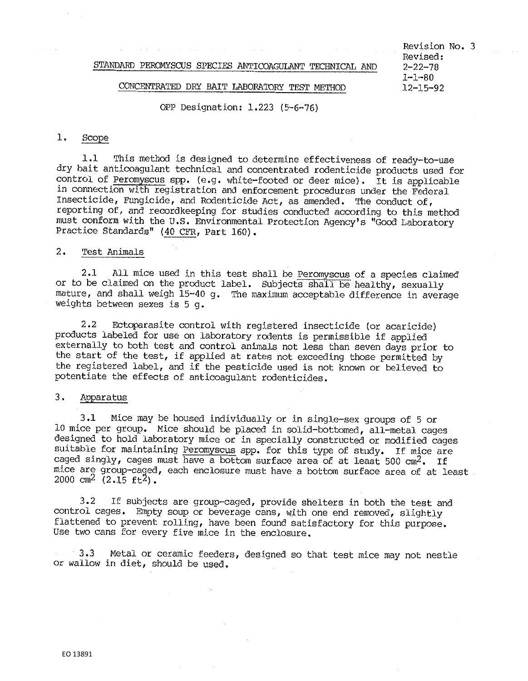## CONCENTRATED DRY BAIT LABORATORY TEST METHOD

Revision No. 3 Revised:<br>2-22-78 1-1-80<br>12-15-92

## OPP Designation: 1.223 (5-6-76)

# 1. Scope

1.1 This method is designed to determine effectiveness of ready-to-use dry bait anticoagulant technical and concentrated rodenticide products used for control of Peromyscus spp. (e.g. white-footed or deer mice). It is applicable in connection with registration and enforcement procedures under the Federal Insecticide, Fungicide, and Rodenticide Act, as amended, The conduct of, reporting of, and recordkeeping for studies conducted according to this method must conform with the u.s. Environmental Protection Agency's "Good Laboratory Practice Standards" (40 CFR, Part 160).

## 2. Test Animals

2.1 All mice used in this test shall be Peromyscus of a species claimed or to be claimed on the product label. Subjects shall be healthy, sexually mature, and shall weigh 15-40 g. The maximum acceptable difference in average weights between sexes is 5 g.

2.2 Ectoparasite control with registered insecticide (or acaricide) products labeled for use on laboratory rodents is permissible if applied externally to both test and control animals not less than seven days prior to the start of the test, if applied at rates not exceeding those permitted by the registered label, and if the pesticide used is not known or believed to potentiate the effects of anticoagulant rodenticides.

# 3. Apparatus

3.1 Mice may be housed individually or in single-sex groups of 5 or 10 mice per group, Mice should be placed in solid-bottomed, all··metal cages designed to hold laboratory mice or in specially constructed or modified cages suitable for maintaining Peromyscus spp. for this type of study. If mice are caged singly, cages must have a bottom surface area of at least 500 cm<sup>2</sup>. If mice are group-caged, each enclosure must have a bottom surface area of at least 2000 cm<sup>2</sup> (2.15 ft<sup>2</sup>).

3.2 If subjects are group-caged, provide shelters in both the test and control cages. Empty soup or beverage cans, with one end removed, slightly flattened to prevent rolling, have been found satisfactory for this purpose. Use two cans for every five mice in the enclosure.

3.3 Metal or ceramic feeders, designed so that test mice may not nestle or wallow in diet, should be used.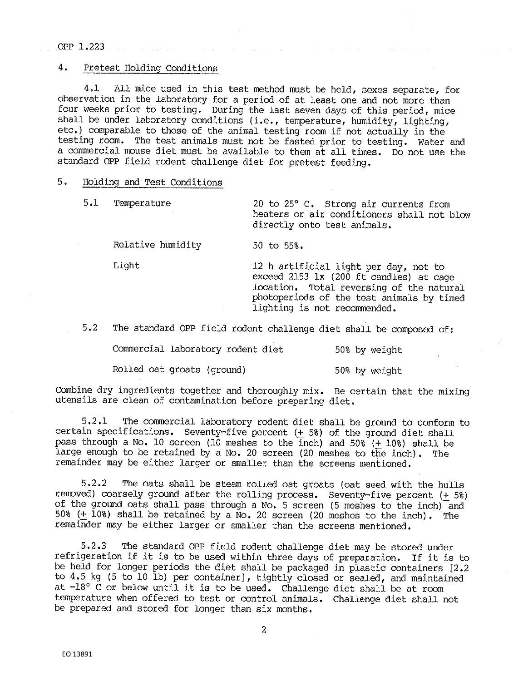OPP 1,223

## 4. Pretest Holding Conditions

4.1 All mice used in this test method must be held, sexes separate, for observation in the laboratory for a period of at least one and not more than four weeks prior to testing. During the last seven days of this period, mice shall be under laboratory conditions (i.e., temperature, humidity, lighting, etc.) comparable to those of the animal. testing room if not actually in the testing room. The test animals must not be fasted prior to testing. Water and a commercial mouse diet must be available to them at all times. Do not use the standard OPP field rodent challenge diet for pretest feeding,

## 5. Holding and Test Conditions

| 5.1 | Temperature       | 20 to 25° C. Strong air currents from<br>heaters or air conditioners shall not blow<br>directly onto test animals.                                                                                        |  |  |
|-----|-------------------|-----------------------------------------------------------------------------------------------------------------------------------------------------------------------------------------------------------|--|--|
|     | Relative humidity | 50 to $55\%$ .                                                                                                                                                                                            |  |  |
|     | Light             | 12 h artificial light per day, not to<br>exceed 2153 lx (200 ft candles) at cage<br>location. Total reversing of the natural<br>photoperiods of the test animals by timed<br>lighting is not recommended. |  |  |

5.2 The standard OPP field rodent challenge diet shall be composed of:

Commercial laboratory rodent diet 50% by weight

Rolled oat groats (ground) 50% by weight

Combine dry ingredients together and thoroughly mix. Be certain that the mixing utensils are clean of contamination before preparing diet.

5,2,l The commercial laboratory rodent diet shall be ground to conform to certain specifications. Seventy-five percent (+ 5%) of the ground diet shall pass through a No, 10 screen (10 meshes to the Inch) and 50% (+ 10%) shall be large enough to be retained by a No. 20 screen (20 meshes to the inch). The remainder may be either larger or smaller than the screens mentioned,

5.2,2 The oats shall be steam rolled oat groats (oat seed with the hulls removed) coarsely ground after the rolling process, Seventy-five percent (+ 5%) of the ground oats shall pass through a No. 5 screen (5 meshes to the inch) and 50% (+ 10%) shall be retained by a No. 20 screen (20 meshes to the inch). The remainder may be either larger or smaller than the screens mentioned,

5,2,3 The standard OPP field rodent challenge diet may be stored under refrigeration if it is to be used within three days of preparation. If it is to be held for longer periods the diet shall be packaged in plastic containers [2,2 to 4,5 kg (5 to 10 lb) per container], tightly closed or sealed, and maintained at  $-18^{\circ}$  C or below until it is to be used. Challenge diet shall be at room temperature when offered to test or control animals. Challenge diet shall not be prepared and stored for longer than six months.

2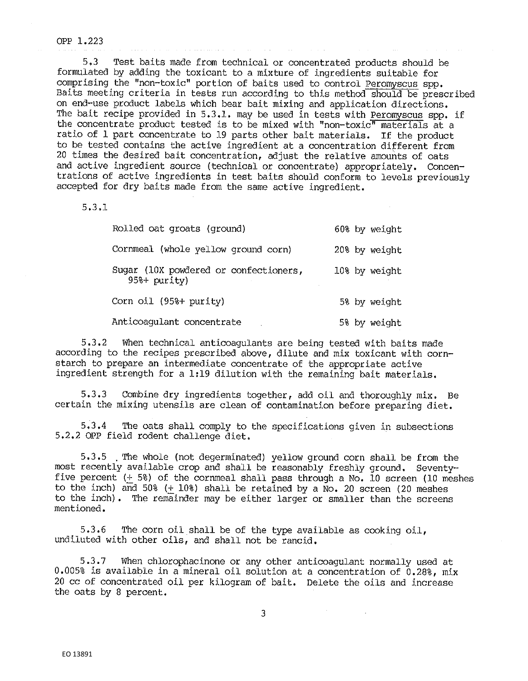#### OPP 1.223

5,3 Test baits made from technical or concentrated products should be formulated by adding the toxicant to a mixture of ingredients suitable for comprising the "non-toxic" portion of baits used to control Peromyscus spp. Baits meeting criteria in tests run according to this method should be prescribed on end-use product labels which bear bait mixing and application directions. The bait recipe provided in 5.3.1, may be used in tests with Peromyscus spp. if the concentrate product tested is to be mixed with "non-toxic" materials at a ratio of 1 part concentrate to 19 parts other bait materials. If the product to be tested contains the active ingredient at a concentration different from 20 times the desired bait concentration, adjust the relative amounts of oats and active ingredient source (technical or concentrate) appropriately. Concentrations of active ingredients in test baits should conform to levels previously accepted for dry baits made from the same active ingredient.

5.3,1

| Rolled oat groats (ground)                              | 60% by weight |
|---------------------------------------------------------|---------------|
| Cornmeal (whole yellow ground corn)                     | 20% by weight |
| Sugar (10X powdered or confectioners,<br>$95% + ourity$ | 10% by weight |
| Corn oil (95%+ purity)                                  | 5% by weight  |
| Anticoagulant concentrate                               | 5% by weight  |

5,3,2 When technical anticoagulants are being tested with baits made according to the recipes prescribed above, dilute and mix toxicant with cornstarch to prepare an intermediate concentrate of the appropriate active ingredient strength for a 1:19 dilution with the remaining bait materials.

5. 3. 3 Combine dry ingredients together, add oil and thoroughly mix, Be certain the mixing utensils are clean of contamination before preparing diet.

5,3 .4 The oats shall comply to the specifications given in subsections 5.2.2 OPP field rodent challenge diet,

5.3.5 . The whole (not degerminated) yellow ground corn shall be from the most recently available crop and shall be reasonably freshly ground. Seventy. five percent ( $+$  5%) of the cornmeal shall pass through a No. 10 screen (10 meshes to the inch) and 50% (+ 10%) shall be retained by a No. 20 screen (20 meshes to the inch). The remainder may be either larger or smaller than the screens mentioned,

5,3.6 The corn oil shall be of the type available as cooking oil, undiluted with other oils, and shall not be rancid.

5.3.7 When chlorophacinone or any other anticoagulant normally used at 0.005% is available in a mineral oil solution at a concentration of  $0.288$ , mix 20 cc of concentrated oil per kilogram of bait. Delete the oils and increase the oats by 8 percent.

3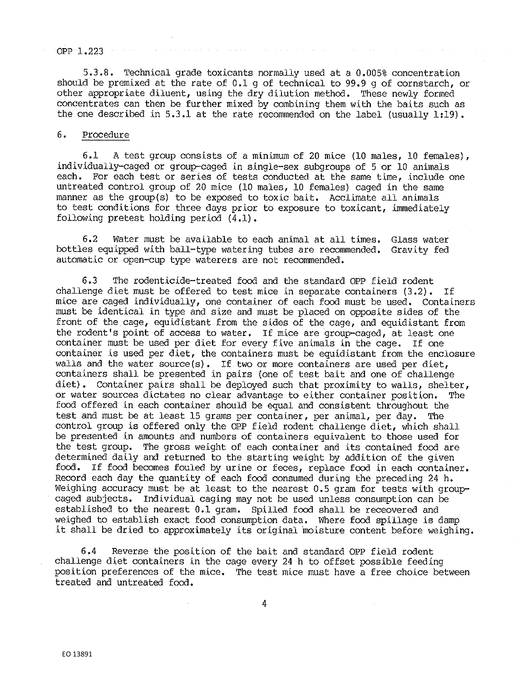### OPP 1.223

5.3.8. Technical grade toxicants normally used at a 0.005% concentration should be premixed at the rate of 0.1 g of technical to 99.9 g of cornstarch, or other appropriate diluent, using the dry dilution method. These newly formed concentrates can then be further mixed by combining them with the baits such as the one described in 5.3.1 at the rate recommended on the label (usually 1:19).

### 6. Procedure

6.1 A test group consists of a minimum of 20 mice (10 males, 10 females), individually-caged or group-caged in single-sex subgroups of 5 or 10 animals each. For each test or series of tests conducted at the same time, include one untreated control group of 20 mice (10 males, 10 females) caged in the same manner as the group(s) to be exposed to toxic bait. Acclimate all animals to test conditions for three days prior to exposure to toxicant, immediately following pretest holding period (4,1),

6,2 Water must be available to each animal at all times, Glass water bottles equipped with ball-type watering tubes are recommended, Gravity fed automatic or open-cup type waterers are not recommended,

6.3 The rodenticide-treated food and the standard OPP field rodent challenge diet must be offered to test mice in separate containers (3,2), If mice are caged individually, one container of each food must be used. Containers must be identical in type and size and must be placed on opposite sides of the front of the cage, equidistant from the sides of the cage, and equidistant from the rodent's point of access to water, If mice are group-caged, at least one container must be used per diet for every five animals in the cage. If one container is used per diet, the containers must be equidistant from the enclosure walls and the water source(s). If two or more containers are used per diet, containers shall be presented in pairs (one of test bait and one of challenge diet). Container pairs shall be deployed such that proximity to walls, shelter, or water sources dictates no clear advantage to either container position. The food offered in each container should be equal and consistent throughout the test and must be at least 15 grams per container, per animal, per day. The control group is offered only the OPP field rodent challenge diet, which shall be presented in amounts and numbers of containers equivalent to those used for the test group. The gross weight of each container and its contained food are determined daily and returned to the starting weight by addition of the given food, If food becomes fouled by urine or feces, replace food in each container. Record each day the quantity of each food consumed during the preceding 24 h, Weighing accuracy must be at least to the nearest 0.5 gram for tests with groupcaged subjects, Individual caging may not be used unless consumption can be established to the nearest 0.1 gram. Spilled food shall be receovered and weighed to establish exact food consumption data. Where food spillage is damp it shall be dried to approximately its original moisture content before weighing.

6.4 Reverse the position of the bait and standard OPP field rodent challenge diet containers in the cage every 24 h to offset possible feeding position preferences of the mice. The test mice must have a free choice between treated and untreated food,

4